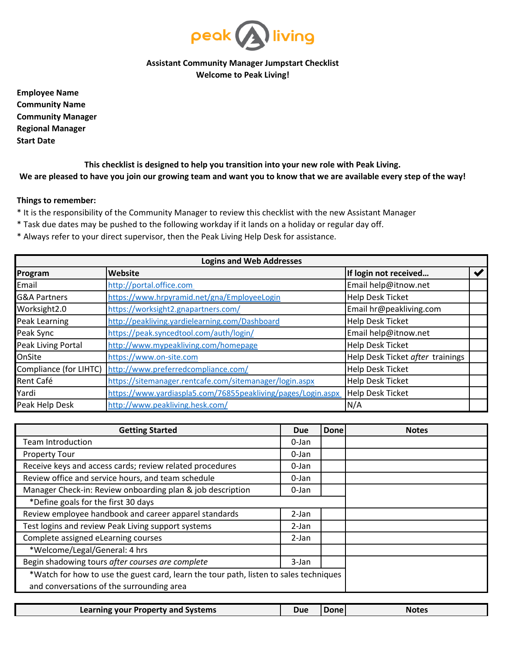

## **Assistant Community Manager Jumpstart Checklist Welcome to Peak Living!**

**Employee Name Community Name Community Manager Regional Manager Start Date**

**This checklist is designed to help you transition into your new role with Peak Living. We are pleased to have you join our growing team and want you to know that we are available every step of the way!**

## **Things to remember:**

- \* It is the responsibility of the Community Manager to review this checklist with the new Assistant Manager
- \* Task due dates may be pushed to the following workday if it lands on a holiday or regular day off.
- \* Always refer to your direct supervisor, then the Peak Living Help Desk for assistance.

| <b>Logins and Web Addresses</b> |                                                              |                                  |  |  |  |  |
|---------------------------------|--------------------------------------------------------------|----------------------------------|--|--|--|--|
| Program                         | Website                                                      | If login not received            |  |  |  |  |
| Email                           | http://portal.office.com                                     | Email help@itnow.net             |  |  |  |  |
| <b>G&amp;A Partners</b>         | https://www.hrpyramid.net/gna/EmployeeLogin                  | Help Desk Ticket                 |  |  |  |  |
| Worksight2.0                    | https://worksight2.gnapartners.com/                          | Email hr@peakliving.com          |  |  |  |  |
| Peak Learning                   | http://peakliving.yardielearning.com/Dashboard               | Help Desk Ticket                 |  |  |  |  |
| Peak Sync                       | https://peak.syncedtool.com/auth/login/                      | Email help@itnow.net             |  |  |  |  |
| Peak Living Portal              | http://www.mypeakliving.com/homepage                         | Help Desk Ticket                 |  |  |  |  |
| OnSite                          | https://www.on-site.com                                      | Help Desk Ticket after trainings |  |  |  |  |
| Compliance (for LIHTC)          | http://www.preferredcompliance.com/                          | Help Desk Ticket                 |  |  |  |  |
| Rent Café                       | https://sitemanager.rentcafe.com/sitemanager/login.aspx      | Help Desk Ticket                 |  |  |  |  |
| Yardi                           | https://www.yardiaspla5.com/76855peakliving/pages/Login.aspx | <b>Help Desk Ticket</b>          |  |  |  |  |
| Peak Help Desk                  | http://www.peakliving.hesk.com/                              | N/A                              |  |  |  |  |

| Learning your Property and Systems | Due | <b>Done</b> | <b>Notes</b> |
|------------------------------------|-----|-------------|--------------|
|------------------------------------|-----|-------------|--------------|